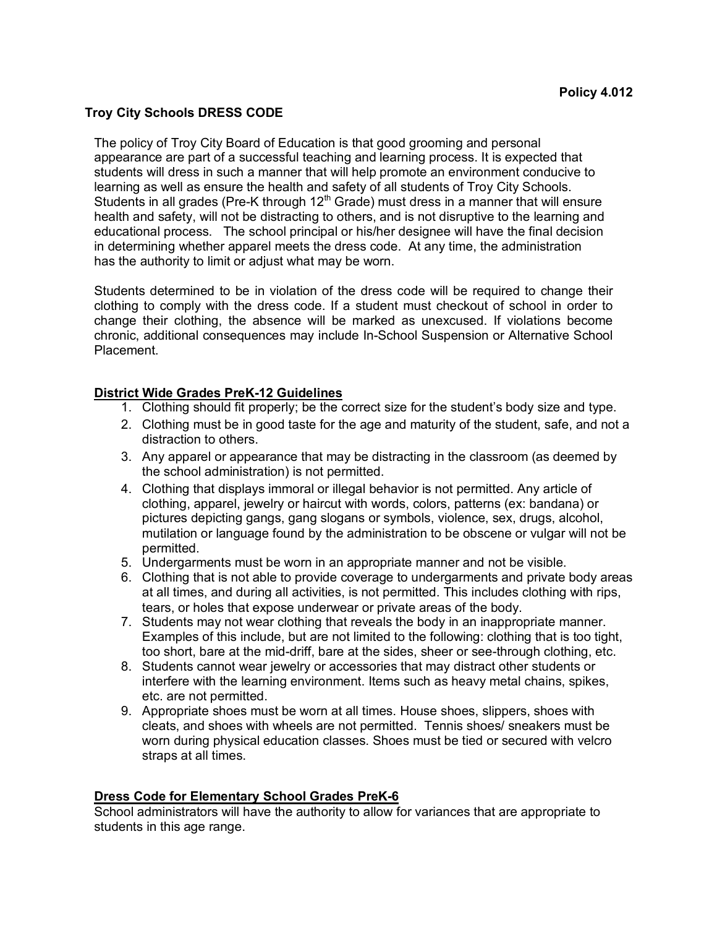### **Troy City Schools DRESS CODE**

The policy of Troy City Board of Education is that good grooming and personal appearance are part of a successful teaching and learning process. It is expected that students will dress in such a manner that will help promote an environment conducive to learning as well as ensure the health and safety of all students of Troy City Schools. Students in all grades (Pre-K through  $12<sup>th</sup>$  Grade) must dress in a manner that will ensure health and safety, will not be distracting to others, and is not disruptive to the learning and educational process. The school principal or his/her designee will have the final decision in determining whether apparel meets the dress code. At any time, the administration has the authority to limit or adjust what may be worn.

Students determined to be in violation of the dress code will be required to change their clothing to comply with the dress code. If a student must checkout of school in order to change their clothing, the absence will be marked as unexcused. If violations become chronic, additional consequences may include In-School Suspension or Alternative School Placement.

#### **District Wide Grades PreK-12 Guidelines**

- 1. Clothing should fit properly; be the correct size for the student's body size and type.
- 2. Clothing must be in good taste for the age and maturity of the student, safe, and not a distraction to others.
- 3. Any apparel or appearance that may be distracting in the classroom (as deemed by the school administration) is not permitted.
- 4. Clothing that displays immoral or illegal behavior is not permitted. Any article of clothing, apparel, jewelry or haircut with words, colors, patterns (ex: bandana) or pictures depicting gangs, gang slogans or symbols, violence, sex, drugs, alcohol, mutilation or language found by the administration to be obscene or vulgar will not be permitted.
- 5. Undergarments must be worn in an appropriate manner and not be visible.
- 6. Clothing that is not able to provide coverage to undergarments and private body areas at all times, and during all activities, is not permitted. This includes clothing with rips, tears, or holes that expose underwear or private areas of the body.
- 7. Students may not wear clothing that reveals the body in an inappropriate manner. Examples of this include, but are not limited to the following: clothing that is too tight, too short, bare at the mid-driff, bare at the sides, sheer or see-through clothing, etc.
- 8. Students cannot wear jewelry or accessories that may distract other students or interfere with the learning environment. Items such as heavy metal chains, spikes, etc. are not permitted.
- 9. Appropriate shoes must be worn at all times. House shoes, slippers, shoes with cleats, and shoes with wheels are not permitted. Tennis shoes/ sneakers must be worn during physical education classes. Shoes must be tied or secured with velcro straps at all times.

#### **Dress Code for Elementary School Grades PreK-6**

School administrators will have the authority to allow for variances that are appropriate to students in this age range.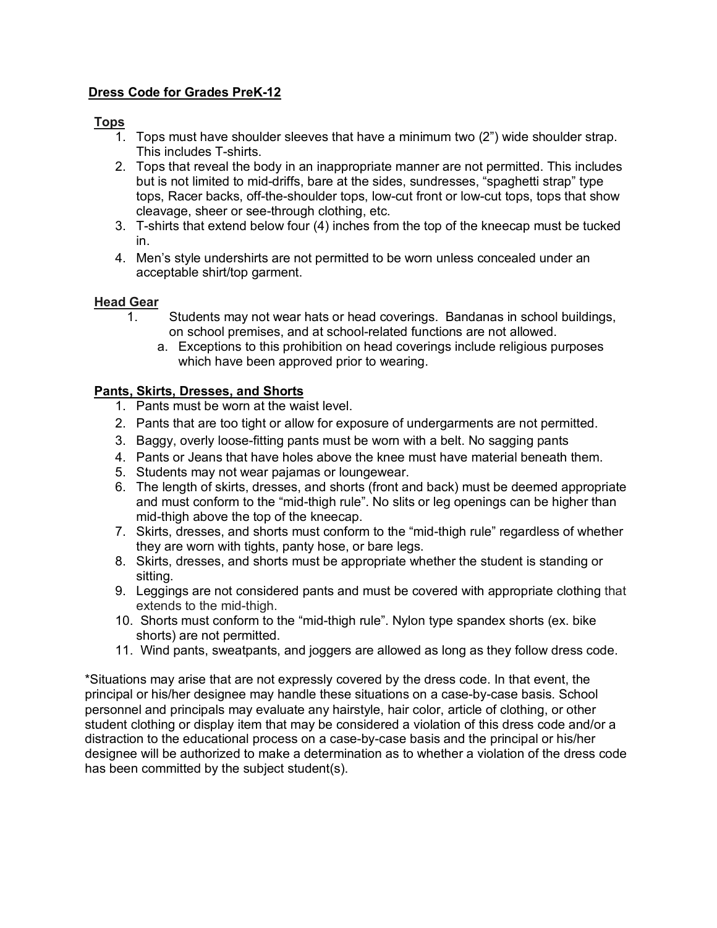# **Dress Code for Grades PreK-12**

# **Tops**

- 1. Tops must have shoulder sleeves that have a minimum two (2") wide shoulder strap. This includes T-shirts.
- 2. Tops that reveal the body in an inappropriate manner are not permitted. This includes but is not limited to mid-driffs, bare at the sides, sundresses, "spaghetti strap" type tops, Racer backs, off-the-shoulder tops, low-cut front or low-cut tops, tops that show cleavage, sheer or see-through clothing, etc.
- 3. T-shirts that extend below four (4) inches from the top of the kneecap must be tucked in.
- 4. Men's style undershirts are not permitted to be worn unless concealed under an acceptable shirt/top garment.

### **Head Gear**

- 1. Students may not wear hats or head coverings. Bandanas in school buildings, on school premises, and at school-related functions are not allowed.
	- a. Exceptions to this prohibition on head coverings include religious purposes which have been approved prior to wearing.

## **Pants, Skirts, Dresses, and Shorts**

- 1. Pants must be worn at the waist level.
- 2. Pants that are too tight or allow for exposure of undergarments are not permitted.
- 3. Baggy, overly loose-fitting pants must be worn with a belt. No sagging pants
- 4. Pants or Jeans that have holes above the knee must have material beneath them.
- 5. Students may not wear pajamas or loungewear.
- 6. The length of skirts, dresses, and shorts (front and back) must be deemed appropriate and must conform to the "mid-thigh rule". No slits or leg openings can be higher than mid-thigh above the top of the kneecap.
- 7. Skirts, dresses, and shorts must conform to the "mid-thigh rule" regardless of whether they are worn with tights, panty hose, or bare legs.
- 8. Skirts, dresses, and shorts must be appropriate whether the student is standing or sitting.
- 9. Leggings are not considered pants and must be covered with appropriate clothing that extends to the mid-thigh.
- 10. Shorts must conform to the "mid-thigh rule". Nylon type spandex shorts (ex. bike shorts) are not permitted.
- 11. Wind pants, sweatpants, and joggers are allowed as long as they follow dress code.

\*Situations may arise that are not expressly covered by the dress code. In that event, the principal or his/her designee may handle these situations on a case-by-case basis. School personnel and principals may evaluate any hairstyle, hair color, article of clothing, or other student clothing or display item that may be considered a violation of this dress code and/or a distraction to the educational process on a case-by-case basis and the principal or his/her designee will be authorized to make a determination as to whether a violation of the dress code has been committed by the subject student(s).